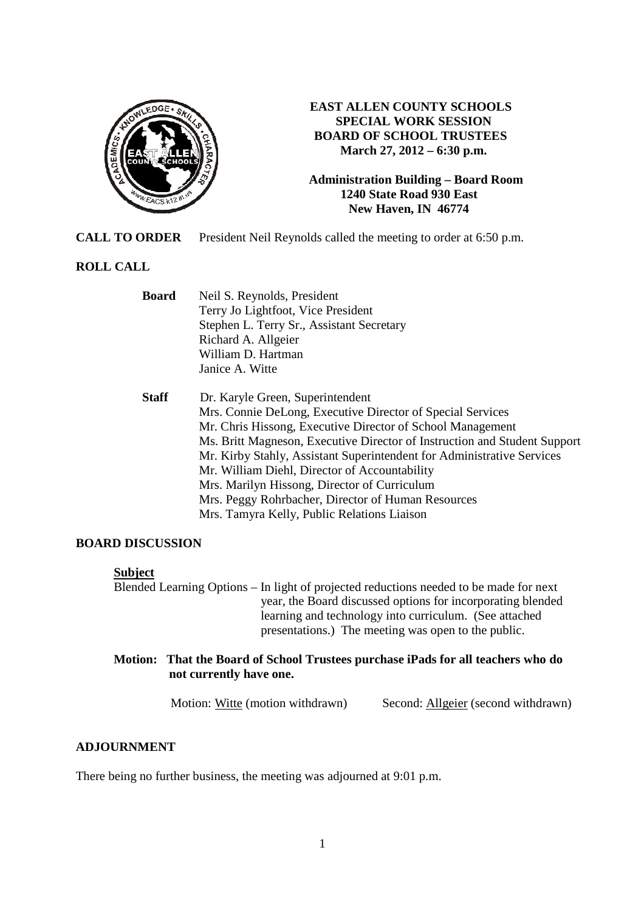

## **EAST ALLEN COUNTY SCHOOLS SPECIAL WORK SESSION BOARD OF SCHOOL TRUSTEES March 27, 2012 – 6:30 p.m.**

**Administration Building – Board Room 1240 State Road 930 East New Haven, IN 46774**

**CALL TO ORDER** President Neil Reynolds called the meeting to order at 6:50 p.m.

## **ROLL CALL**

| <b>Board</b> | Neil S. Reynolds, President<br>Terry Jo Lightfoot, Vice President<br>Stephen L. Terry Sr., Assistant Secretary<br>Richard A. Allgeier<br>William D. Hartman<br>Janice A. Witte                                                                                                                                                                                                                                                                                                                                            |
|--------------|---------------------------------------------------------------------------------------------------------------------------------------------------------------------------------------------------------------------------------------------------------------------------------------------------------------------------------------------------------------------------------------------------------------------------------------------------------------------------------------------------------------------------|
| <b>Staff</b> | Dr. Karyle Green, Superintendent<br>Mrs. Connie DeLong, Executive Director of Special Services<br>Mr. Chris Hissong, Executive Director of School Management<br>Ms. Britt Magneson, Executive Director of Instruction and Student Support<br>Mr. Kirby Stahly, Assistant Superintendent for Administrative Services<br>Mr. William Diehl, Director of Accountability<br>Mrs. Marilyn Hissong, Director of Curriculum<br>Mrs. Peggy Rohrbacher, Director of Human Resources<br>Mrs. Tamyra Kelly, Public Relations Liaison |

#### **BOARD DISCUSSION**

#### **Subject**

Blended Learning Options – In light of projected reductions needed to be made for next year, the Board discussed options for incorporating blended learning and technology into curriculum. (See attached presentations.) The meeting was open to the public.

#### **Motion: That the Board of School Trustees purchase iPads for all teachers who do not currently have one.**

Motion: Witte (motion withdrawn) Second: Allgeier (second withdrawn)

## **ADJOURNMENT**

There being no further business, the meeting was adjourned at 9:01 p.m.